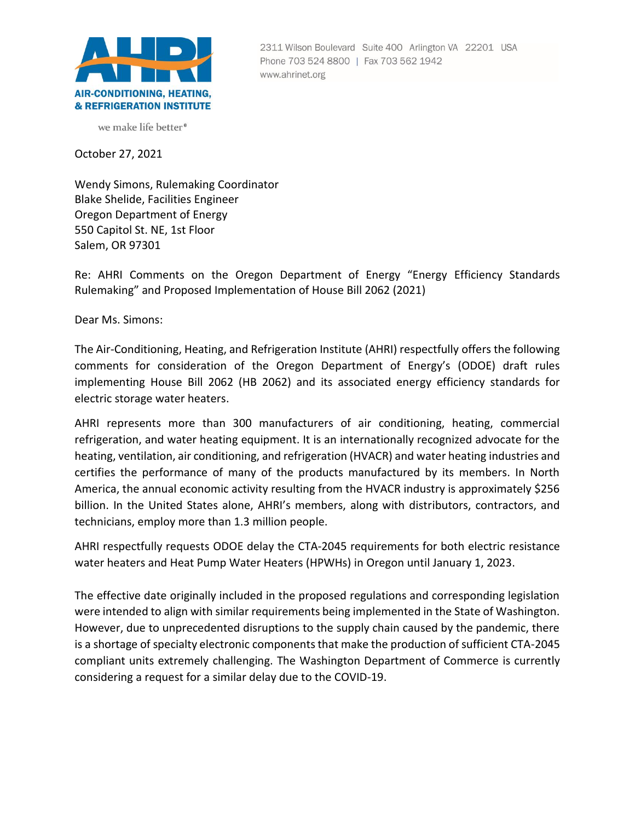

2311 Wilson Boulevard Suite 400 Arlington VA 22201 USA Phone 703 524 8800 | Fax 703 562 1942 www.ahrinet.org

we make life better<sup>®</sup>

October 27, 2021

Wendy Simons, Rulemaking Coordinator Blake Shelide, Facilities Engineer Oregon Department of Energy 550 Capitol St. NE, 1st Floor Salem, OR 97301

Re: AHRI Comments on the Oregon Department of Energy "Energy Efficiency Standards Rulemaking" and Proposed Implementation of House Bill 2062 (2021)

Dear Ms. Simons:

The Air-Conditioning, Heating, and Refrigeration Institute (AHRI) respectfully offers the following comments for consideration of the Oregon Department of Energy's (ODOE) draft rules implementing House Bill 2062 (HB 2062) and its associated energy efficiency standards for electric storage water heaters.

AHRI represents more than 300 manufacturers of air conditioning, heating, commercial refrigeration, and water heating equipment. It is an internationally recognized advocate for the heating, ventilation, air conditioning, and refrigeration (HVACR) and water heating industries and certifies the performance of many of the products manufactured by its members. In North America, the annual economic activity resulting from the HVACR industry is approximately \$256 billion. In the United States alone, AHRI's members, along with distributors, contractors, and technicians, employ more than 1.3 million people.

AHRI respectfully requests ODOE delay the CTA-2045 requirements for both electric resistance water heaters and Heat Pump Water Heaters (HPWHs) in Oregon until January 1, 2023.

The effective date originally included in the proposed regulations and corresponding legislation were intended to align with similar requirements being implemented in the State of Washington. However, due to unprecedented disruptions to the supply chain caused by the pandemic, there is a shortage of specialty electronic components that make the production of sufficient CTA-2045 compliant units extremely challenging. The Washington Department of Commerce is currently considering a request for a similar delay due to the COVID-19.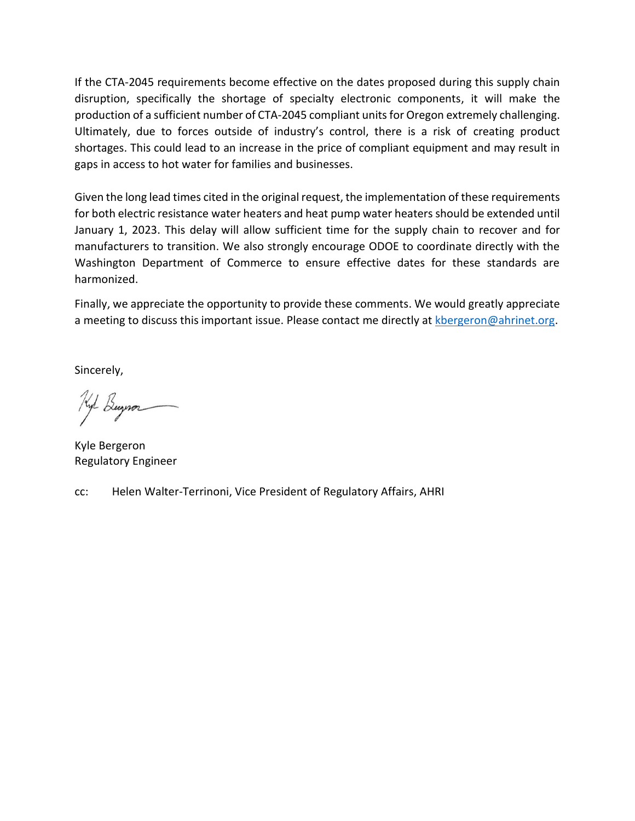If the CTA-2045 requirements become effective on the dates proposed during this supply chain disruption, specifically the shortage of specialty electronic components, it will make the production of a sufficient number of CTA-2045 compliant units for Oregon extremely challenging. Ultimately, due to forces outside of industry's control, there is a risk of creating product shortages. This could lead to an increase in the price of compliant equipment and may result in gaps in access to hot water for families and businesses.

Given the long lead times cited in the original request, the implementation of these requirements for both electric resistance water heaters and heat pump water heaters should be extended until January 1, 2023. This delay will allow sufficient time for the supply chain to recover and for manufacturers to transition. We also strongly encourage ODOE to coordinate directly with the Washington Department of Commerce to ensure effective dates for these standards are harmonized.

Finally, we appreciate the opportunity to provide these comments. We would greatly appreciate a meeting to discuss this important issue. Please contact me directly at [kbergeron@ahrinet.org.](mailto:kbergeron@ahrinet.org)

Sincerely,

Hyl Buynor

Kyle Bergeron Regulatory Engineer

cc: Helen Walter-Terrinoni, Vice President of Regulatory Affairs, AHRI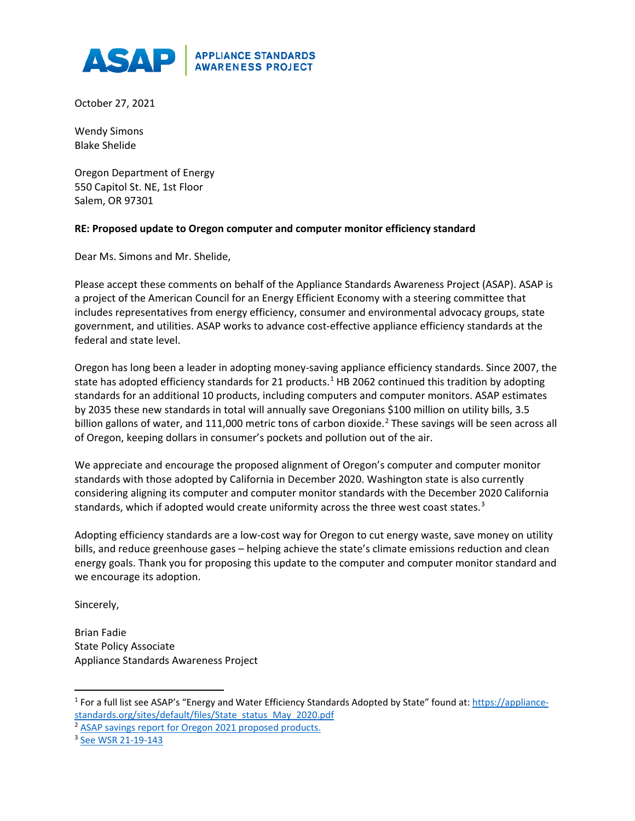

October 27, 2021

Wendy Simons Blake Shelide

Oregon Department of Energy 550 Capitol St. NE, 1st Floor Salem, OR 97301

## **RE: Proposed update to Oregon computer and computer monitor efficiency standard**

Dear Ms. Simons and Mr. Shelide,

Please accept these comments on behalf of the Appliance Standards Awareness Project (ASAP). ASAP is a project of the American Council for an Energy Efficient Economy with a steering committee that includes representatives from energy efficiency, consumer and environmental advocacy groups, state government, and utilities. ASAP works to advance cost-effective appliance efficiency standards at the federal and state level.

Oregon has long been a leader in adopting money-saving appliance efficiency standards. Since 2007, the state has adopted efficiency standards for 2[1](#page-2-0) products.<sup>1</sup> HB 2062 continued this tradition by adopting standards for an additional 10 products, including computers and computer monitors. ASAP estimates by 2035 these new standards in total will annually save Oregonians \$100 million on utility bills, 3.5 billion gallons of water, and 111,000 metric tons of carbon dioxide. [2](#page-2-1) These savings will be seen across all of Oregon, keeping dollars in consumer's pockets and pollution out of the air.

We appreciate and encourage the proposed alignment of Oregon's computer and computer monitor standards with those adopted by California in December 2020. Washington state is also currently considering aligning its computer and computer monitor standards with the December 2020 California standards, which if adopted would create uniformity across the three west coast states. $3$ 

Adopting efficiency standards are a low-cost way for Oregon to cut energy waste, save money on utility bills, and reduce greenhouse gases – helping achieve the state's climate emissions reduction and clean energy goals. Thank you for proposing this update to the computer and computer monitor standard and we encourage its adoption.

Sincerely,

Brian Fadie State Policy Associate Appliance Standards Awareness Project

<span id="page-2-0"></span><sup>&</sup>lt;sup>1</sup> For a full list see ASAP's "Energy and Water Efficiency Standards Adopted by State" found at[: https://appliance](https://appliance-standards.org/sites/default/files/State_status_May_2020.pdf)[standards.org/sites/default/files/State\\_status\\_May\\_2020.pdf](https://appliance-standards.org/sites/default/files/State_status_May_2020.pdf)

<span id="page-2-1"></span><sup>&</sup>lt;sup>2</sup> [ASAP savings report for Oregon 2021 proposed products.](https://appliance-standards.org/sites/default/files/Oregon%20Appliance%20Standards%20Savings%20Report%20%282021%20proposed%20products%29.pdf)

<span id="page-2-2"></span><sup>3</sup> [See WSR 21-19-143](https://www.commerce.wa.gov/wp-content/uploads/2021/09/WSR-21-19-143.pdf)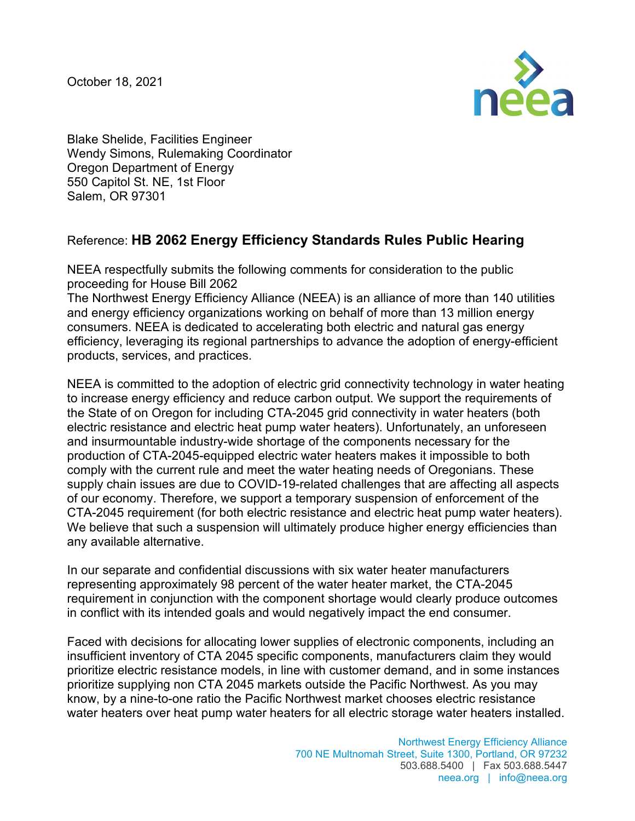October 18, 2021



Blake Shelide, Facilities Engineer Wendy Simons, Rulemaking Coordinator Oregon Department of Energy 550 Capitol St. NE, 1st Floor Salem, OR 97301

## Reference: **HB 2062 Energy Efficiency Standards Rules Public Hearing**

NEEA respectfully submits the following comments for consideration to the public proceeding for House Bill 2062

The Northwest Energy Efficiency Alliance (NEEA) is an alliance of more than 140 utilities and energy efficiency organizations working on behalf of more than 13 million energy consumers. NEEA is dedicated to accelerating both electric and natural gas energy efficiency, leveraging its regional partnerships to advance the adoption of energy-efficient products, services, and practices.

NEEA is committed to the adoption of electric grid connectivity technology in water heating to increase energy efficiency and reduce carbon output. We support the requirements of the State of on Oregon for including CTA-2045 grid connectivity in water heaters (both electric resistance and electric heat pump water heaters). Unfortunately, an unforeseen and insurmountable industry-wide shortage of the components necessary for the production of CTA-2045-equipped electric water heaters makes it impossible to both comply with the current rule and meet the water heating needs of Oregonians. These supply chain issues are due to COVID-19-related challenges that are affecting all aspects of our economy. Therefore, we support a temporary suspension of enforcement of the CTA-2045 requirement (for both electric resistance and electric heat pump water heaters). We believe that such a suspension will ultimately produce higher energy efficiencies than any available alternative.

In our separate and confidential discussions with six water heater manufacturers representing approximately 98 percent of the water heater market, the CTA-2045 requirement in conjunction with the component shortage would clearly produce outcomes in conflict with its intended goals and would negatively impact the end consumer.

Faced with decisions for allocating lower supplies of electronic components, including an insufficient inventory of CTA 2045 specific components, manufacturers claim they would prioritize electric resistance models, in line with customer demand, and in some instances prioritize supplying non CTA 2045 markets outside the Pacific Northwest. As you may know, by a nine-to-one ratio the Pacific Northwest market chooses electric resistance water heaters over heat pump water heaters for all electric storage water heaters installed.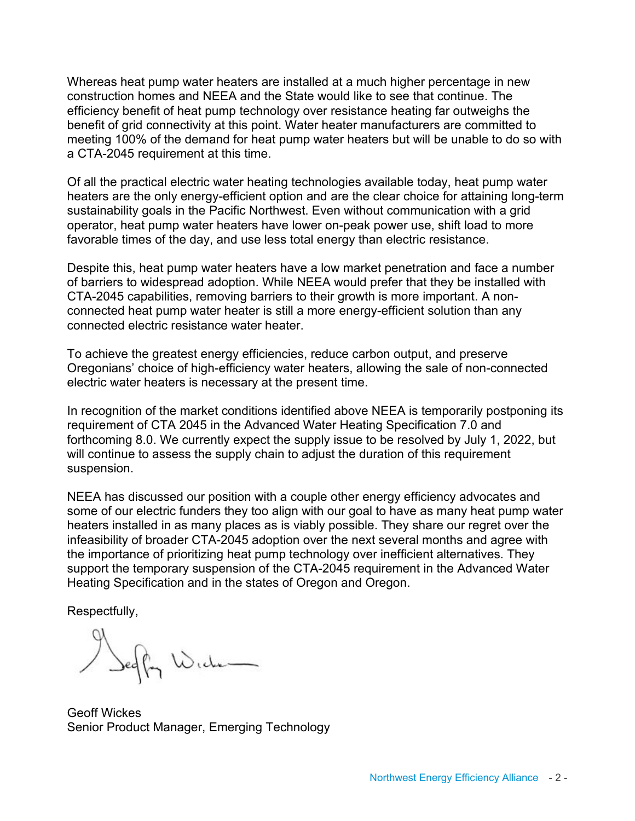Whereas heat pump water heaters are installed at a much higher percentage in new construction homes and NEEA and the State would like to see that continue. The efficiency benefit of heat pump technology over resistance heating far outweighs the benefit of grid connectivity at this point. Water heater manufacturers are committed to meeting 100% of the demand for heat pump water heaters but will be unable to do so with a CTA-2045 requirement at this time.

Of all the practical electric water heating technologies available today, heat pump water heaters are the only energy-efficient option and are the clear choice for attaining long-term sustainability goals in the Pacific Northwest. Even without communication with a grid operator, heat pump water heaters have lower on-peak power use, shift load to more favorable times of the day, and use less total energy than electric resistance.

Despite this, heat pump water heaters have a low market penetration and face a number of barriers to widespread adoption. While NEEA would prefer that they be installed with CTA-2045 capabilities, removing barriers to their growth is more important. A nonconnected heat pump water heater is still a more energy-efficient solution than any connected electric resistance water heater.

To achieve the greatest energy efficiencies, reduce carbon output, and preserve Oregonians' choice of high-efficiency water heaters, allowing the sale of non-connected electric water heaters is necessary at the present time.

In recognition of the market conditions identified above NEEA is temporarily postponing its requirement of CTA 2045 in the Advanced Water Heating Specification 7.0 and forthcoming 8.0. We currently expect the supply issue to be resolved by July 1, 2022, but will continue to assess the supply chain to adjust the duration of this requirement suspension.

NEEA has discussed our position with a couple other energy efficiency advocates and some of our electric funders they too align with our goal to have as many heat pump water heaters installed in as many places as is viably possible. They share our regret over the infeasibility of broader CTA-2045 adoption over the next several months and agree with the importance of prioritizing heat pump technology over inefficient alternatives. They support the temporary suspension of the CTA-2045 requirement in the Advanced Water Heating Specification and in the states of Oregon and Oregon.

Respectfully,

Segler Wide

Geoff Wickes Senior Product Manager, Emerging Technology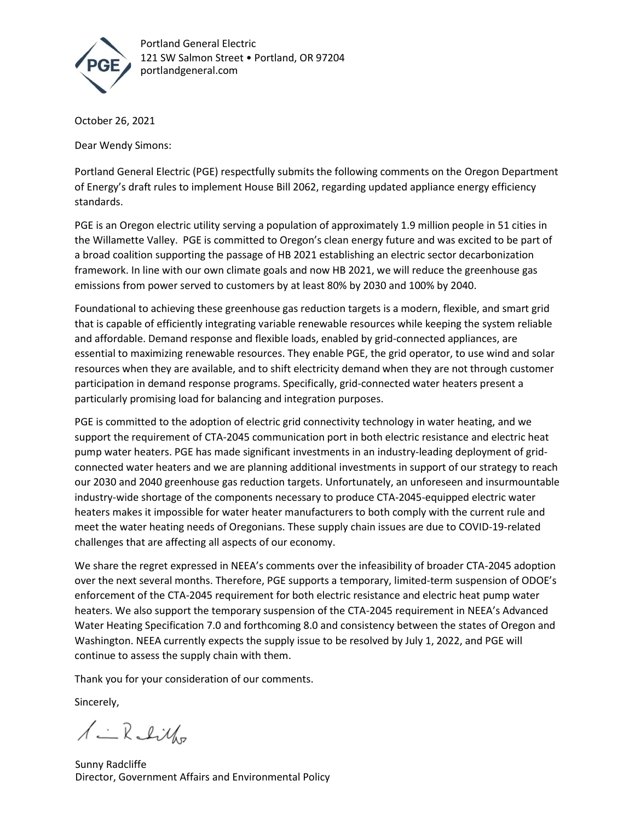

Portland General Electric 121 SW Salmon Street . Portland, OR 97204 portlandgeneral.com

October 26, 2021

Dear Wendy Simons:

Portland General Electric (PGE) respectfully submits the following comments on the Oregon Department of Energy's draft rules to implement House Bill 2062, regarding updated appliance energy efficiency standards.

PGE is an Oregon electric utility serving a population of approximately 1.9 million people in 51 cities in the Willamette Valley. PGE is committed to Oregon's clean energy future and was excited to be part of a broad coalition supporting the passage of HB 2021 establishing an electric sector decarbonization framework. In line with our own climate goals and now HB 2021, we will reduce the greenhouse gas emissions from power served to customers by at least 80% by 2030 and 100% by 2040.

Foundational to achieving these greenhouse gas reduction targets is a modern, flexible, and smart grid that is capable of efficiently integrating variable renewable resources while keeping the system reliable and affordable. Demand response and flexible loads, enabled by grid-connected appliances, are essential to maximizing renewable resources. They enable PGE, the grid operator, to use wind and solar resources when they are available, and to shift electricity demand when they are not through customer participation in demand response programs. Specifically, grid-connected water heaters present a particularly promising load for balancing and integration purposes.

PGE is committed to the adoption of electric grid connectivity technology in water heating, and we support the requirement of CTA-2045 communication port in both electric resistance and electric heat pump water heaters. PGE has made significant investments in an industry-leading deployment of gridconnected water heaters and we are planning additional investments in support of our strategy to reach our 2030 and 2040 greenhouse gas reduction targets. Unfortunately, an unforeseen and insurmountable industry-wide shortage of the components necessary to produce CTA-2045-equipped electric water heaters makes it impossible for water heater manufacturers to both comply with the current rule and meet the water heating needs of Oregonians. These supply chain issues are due to COVID-19-related challenges that are affecting all aspects of our economy.

We share the regret expressed in NEEA's comments over the infeasibility of broader CTA-2045 adoption over the next several months. Therefore, PGE supports a temporary, limited-term suspension of ODOE's enforcement of the CTA-2045 requirement for both electric resistance and electric heat pump water heaters. We also support the temporary suspension of the CTA-2045 requirement in NEEA's Advanced Water Heating Specification 7.0 and forthcoming 8.0 and consistency between the states of Oregon and Washington. NEEA currently expects the supply issue to be resolved by July 1, 2022, and PGE will continue to assess the supply chain with them.

Thank you for your consideration of our comments.

Sincerely,

 $\lambda - R$ chillo

Sunny Radcliffe Director, Government Affairs and Environmental Policy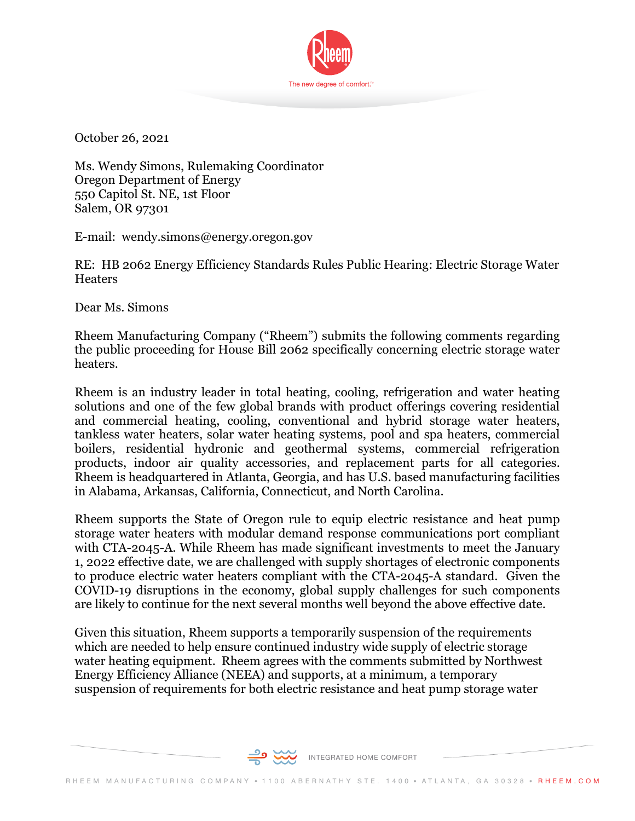

October 26, 2021

Ms. Wendy Simons, Rulemaking Coordinator Oregon Department of Energy 550 Capitol St. NE, 1st Floor Salem, OR 97301

E-mail: wendy.simons@energy.oregon.gov

RE: HB 2062 Energy Efficiency Standards Rules Public Hearing: Electric Storage Water **Heaters** 

Dear Ms. Simons

Rheem Manufacturing Company ("Rheem") submits the following comments regarding the public proceeding for House Bill 2062 specifically concerning electric storage water heaters.

Rheem is an industry leader in total heating, cooling, refrigeration and water heating solutions and one of the few global brands with product offerings covering residential and commercial heating, cooling, conventional and hybrid storage water heaters, tankless water heaters, solar water heating systems, pool and spa heaters, commercial boilers, residential hydronic and geothermal systems, commercial refrigeration products, indoor air quality accessories, and replacement parts for all categories. Rheem is headquartered in Atlanta, Georgia, and has U.S. based manufacturing facilities in Alabama, Arkansas, California, Connecticut, and North Carolina.

Rheem supports the State of Oregon rule to equip electric resistance and heat pump storage water heaters with modular demand response communications port compliant with CTA-2045-A. While Rheem has made significant investments to meet the January 1, 2022 effective date, we are challenged with supply shortages of electronic components to produce electric water heaters compliant with the CTA-2045-A standard. Given the COVID-19 disruptions in the economy, global supply challenges for such components are likely to continue for the next several months well beyond the above effective date.

Given this situation, Rheem supports a temporarily suspension of the requirements which are needed to help ensure continued industry wide supply of electric storage water heating equipment. Rheem agrees with the comments submitted by Northwest Energy Efficiency Alliance (NEEA) and supports, at a minimum, a temporary suspension of requirements for both electric resistance and heat pump storage water

INTEGRATED HOME COMFORT